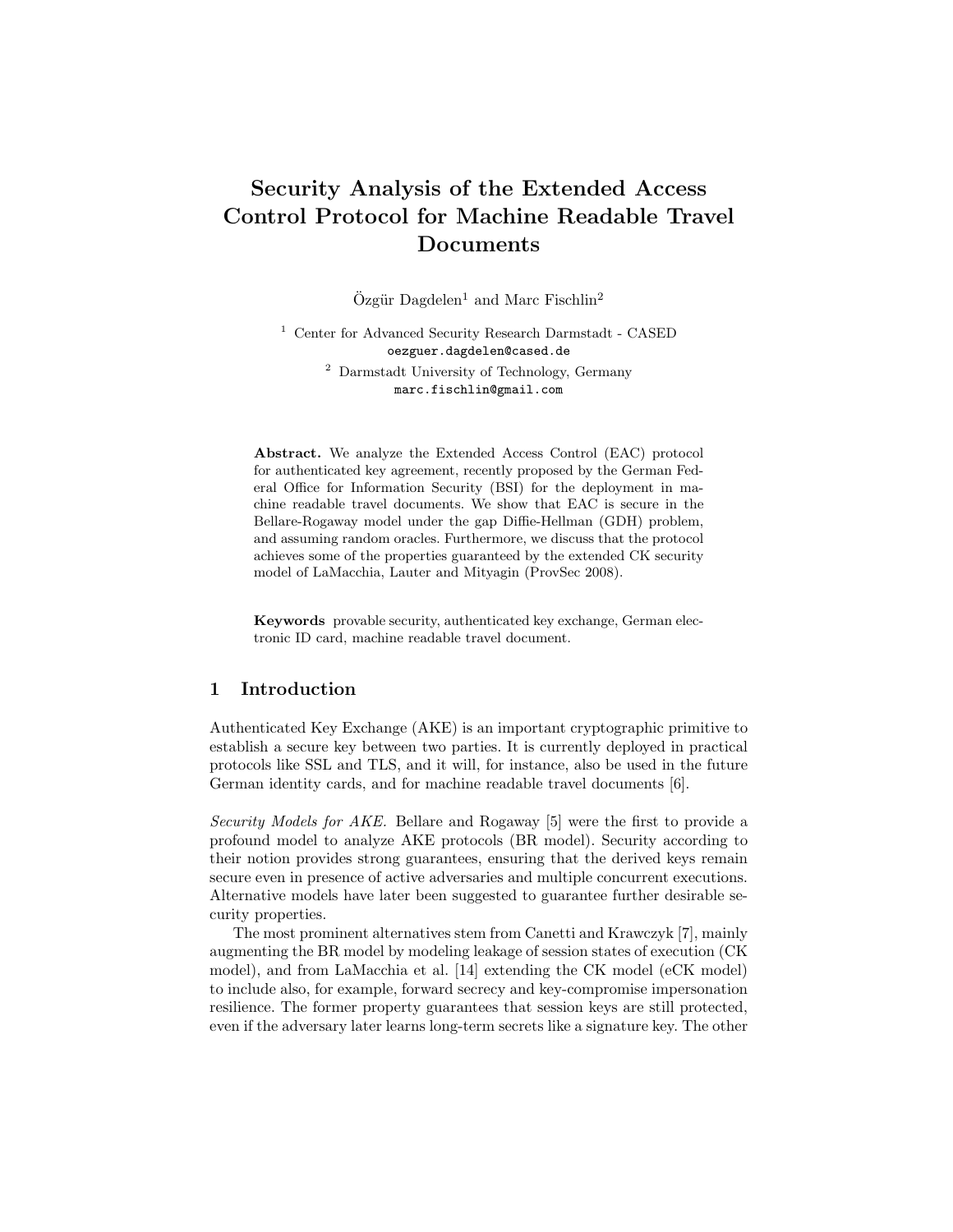# Security Analysis of the Extended Access Control Protocol for Machine Readable Travel Documents

 $Özgür Dagdelen<sup>1</sup>$  and Marc Fischlin<sup>2</sup>

<sup>1</sup> Center for Advanced Security Research Darmstadt - CASED oezguer.dagdelen@cased.de

> <sup>2</sup> Darmstadt University of Technology, Germany marc.fischlin@gmail.com

Abstract. We analyze the Extended Access Control (EAC) protocol for authenticated key agreement, recently proposed by the German Federal Office for Information Security (BSI) for the deployment in machine readable travel documents. We show that EAC is secure in the Bellare-Rogaway model under the gap Diffie-Hellman (GDH) problem, and assuming random oracles. Furthermore, we discuss that the protocol achieves some of the properties guaranteed by the extended CK security model of LaMacchia, Lauter and Mityagin (ProvSec 2008).

Keywords provable security, authenticated key exchange, German electronic ID card, machine readable travel document.

# 1 Introduction

Authenticated Key Exchange (AKE) is an important cryptographic primitive to establish a secure key between two parties. It is currently deployed in practical protocols like SSL and TLS, and it will, for instance, also be used in the future German identity cards, and for machine readable travel documents [6].

Security Models for AKE. Bellare and Rogaway [5] were the first to provide a profound model to analyze AKE protocols (BR model). Security according to their notion provides strong guarantees, ensuring that the derived keys remain secure even in presence of active adversaries and multiple concurrent executions. Alternative models have later been suggested to guarantee further desirable security properties.

The most prominent alternatives stem from Canetti and Krawczyk [7], mainly augmenting the BR model by modeling leakage of session states of execution (CK model), and from LaMacchia et al. [14] extending the CK model (eCK model) to include also, for example, forward secrecy and key-compromise impersonation resilience. The former property guarantees that session keys are still protected, even if the adversary later learns long-term secrets like a signature key. The other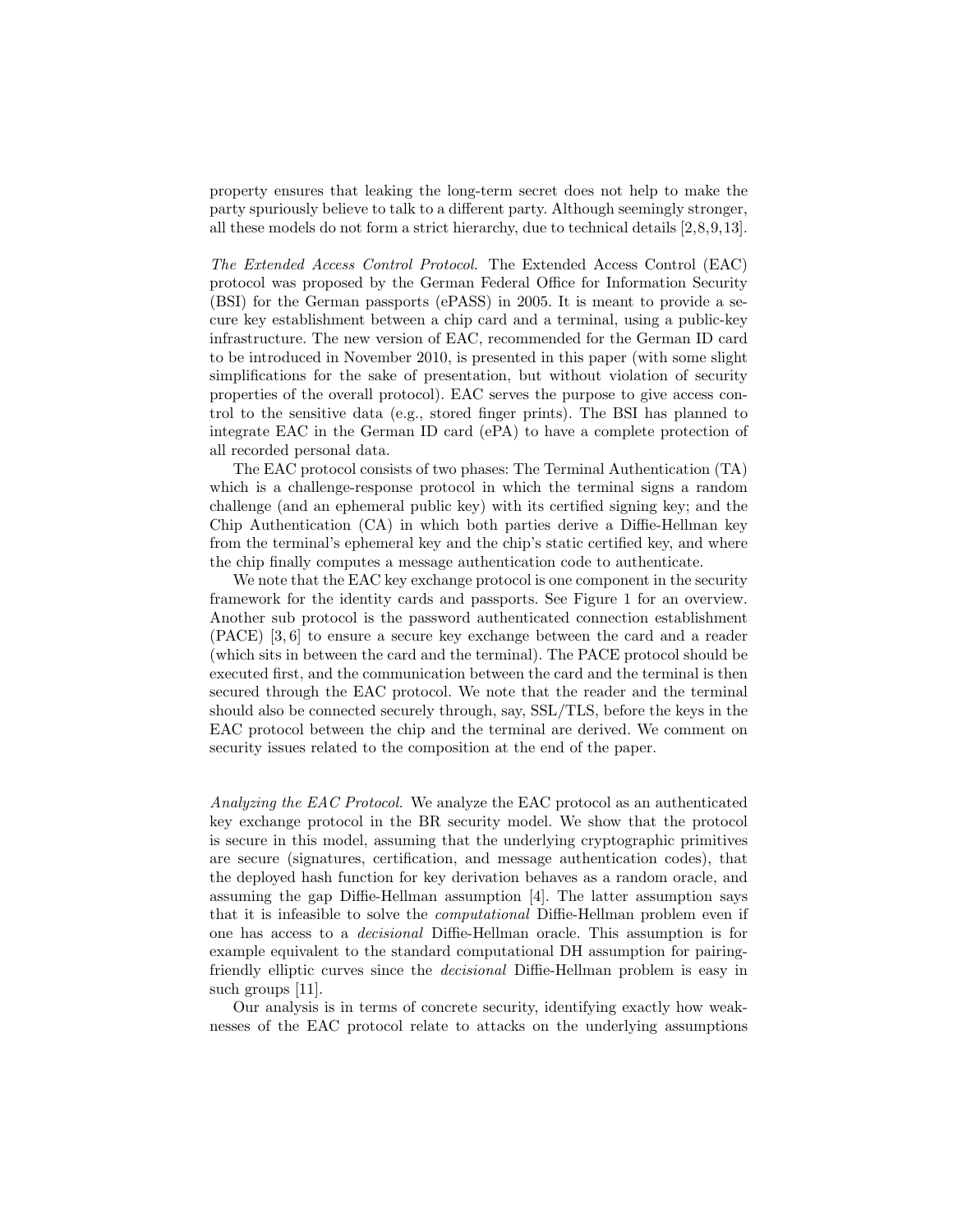property ensures that leaking the long-term secret does not help to make the party spuriously believe to talk to a different party. Although seemingly stronger, all these models do not form a strict hierarchy, due to technical details [2,8,9,13].

The Extended Access Control Protocol. The Extended Access Control (EAC) protocol was proposed by the German Federal Office for Information Security (BSI) for the German passports (ePASS) in 2005. It is meant to provide a secure key establishment between a chip card and a terminal, using a public-key infrastructure. The new version of EAC, recommended for the German ID card to be introduced in November 2010, is presented in this paper (with some slight simplifications for the sake of presentation, but without violation of security properties of the overall protocol). EAC serves the purpose to give access control to the sensitive data (e.g., stored finger prints). The BSI has planned to integrate EAC in the German ID card (ePA) to have a complete protection of all recorded personal data.

The EAC protocol consists of two phases: The Terminal Authentication (TA) which is a challenge-response protocol in which the terminal signs a random challenge (and an ephemeral public key) with its certified signing key; and the Chip Authentication (CA) in which both parties derive a Diffie-Hellman key from the terminal's ephemeral key and the chip's static certified key, and where the chip finally computes a message authentication code to authenticate.

We note that the EAC key exchange protocol is one component in the security framework for the identity cards and passports. See Figure 1 for an overview. Another sub protocol is the password authenticated connection establishment (PACE) [3, 6] to ensure a secure key exchange between the card and a reader (which sits in between the card and the terminal). The PACE protocol should be executed first, and the communication between the card and the terminal is then secured through the EAC protocol. We note that the reader and the terminal should also be connected securely through, say, SSL/TLS, before the keys in the EAC protocol between the chip and the terminal are derived. We comment on security issues related to the composition at the end of the paper.

Analyzing the EAC Protocol. We analyze the EAC protocol as an authenticated key exchange protocol in the BR security model. We show that the protocol is secure in this model, assuming that the underlying cryptographic primitives are secure (signatures, certification, and message authentication codes), that the deployed hash function for key derivation behaves as a random oracle, and assuming the gap Diffie-Hellman assumption [4]. The latter assumption says that it is infeasible to solve the computational Diffie-Hellman problem even if one has access to a decisional Diffie-Hellman oracle. This assumption is for example equivalent to the standard computational DH assumption for pairingfriendly elliptic curves since the decisional Diffie-Hellman problem is easy in such groups [11].

Our analysis is in terms of concrete security, identifying exactly how weaknesses of the EAC protocol relate to attacks on the underlying assumptions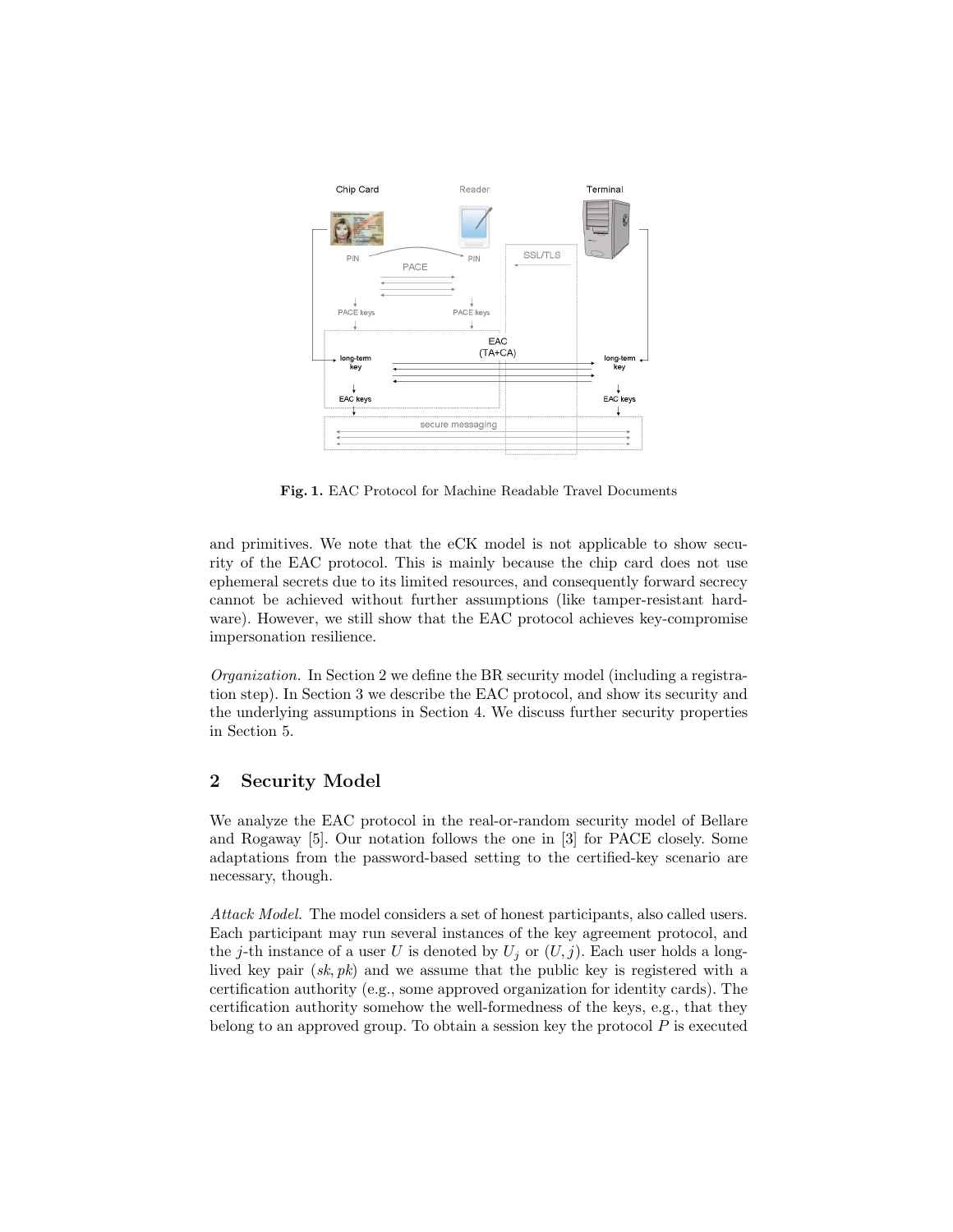

Fig. 1. EAC Protocol for Machine Readable Travel Documents

and primitives. We note that the eCK model is not applicable to show security of the EAC protocol. This is mainly because the chip card does not use ephemeral secrets due to its limited resources, and consequently forward secrecy cannot be achieved without further assumptions (like tamper-resistant hardware). However, we still show that the EAC protocol achieves key-compromise impersonation resilience.

Organization. In Section 2 we define the BR security model (including a registration step). In Section 3 we describe the EAC protocol, and show its security and the underlying assumptions in Section 4. We discuss further security properties in Section 5.

# 2 Security Model

We analyze the EAC protocol in the real-or-random security model of Bellare and Rogaway [5]. Our notation follows the one in [3] for PACE closely. Some adaptations from the password-based setting to the certified-key scenario are necessary, though.

Attack Model. The model considers a set of honest participants, also called users. Each participant may run several instances of the key agreement protocol, and the j-th instance of a user U is denoted by  $U_j$  or  $(U, j)$ . Each user holds a longlived key pair  $(s_k, pk)$  and we assume that the public key is registered with a certification authority (e.g., some approved organization for identity cards). The certification authority somehow the well-formedness of the keys, e.g., that they belong to an approved group. To obtain a session key the protocol  $P$  is executed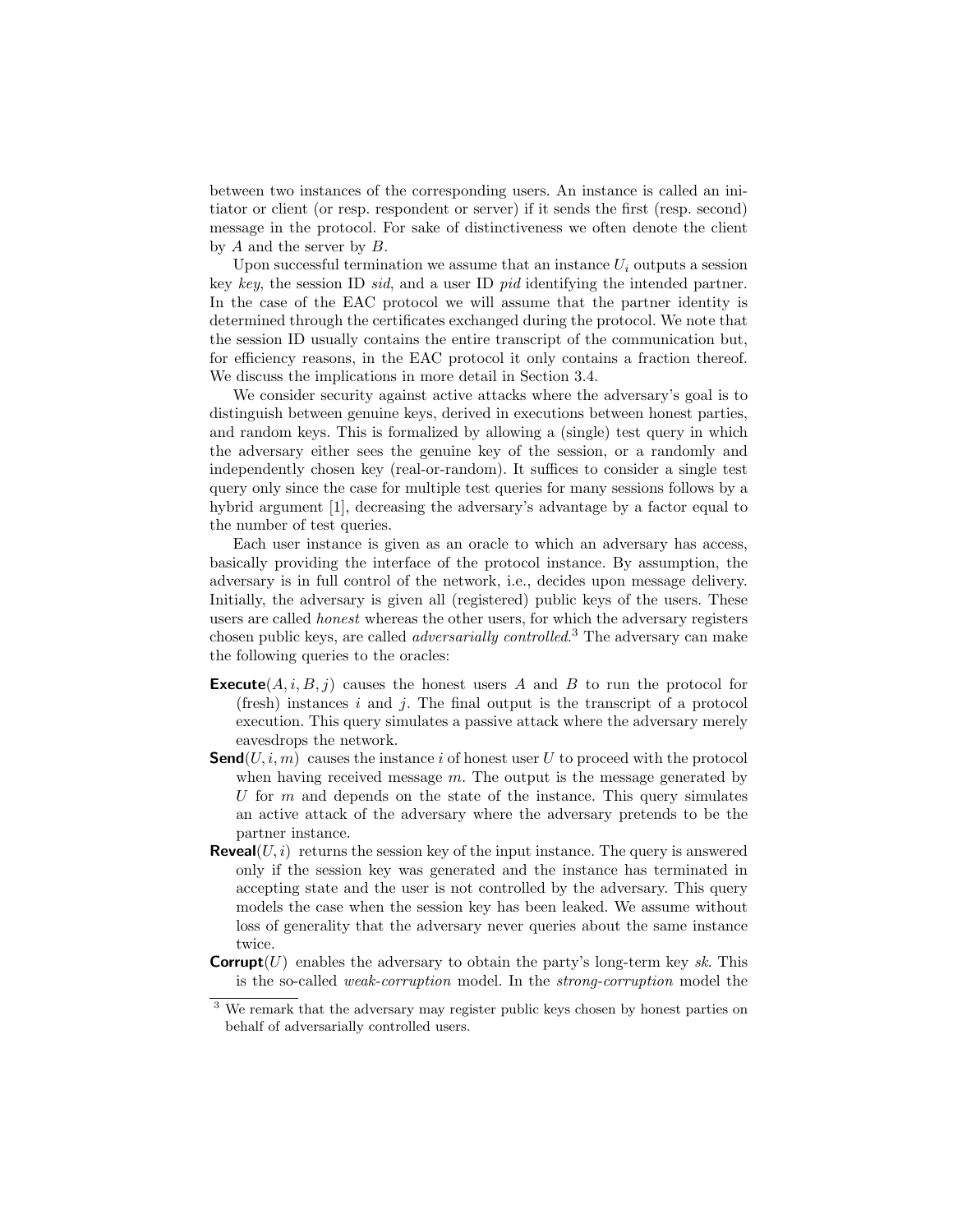between two instances of the corresponding users. An instance is called an initiator or client (or resp. respondent or server) if it sends the first (resp. second) message in the protocol. For sake of distinctiveness we often denote the client by A and the server by B.

Upon successful termination we assume that an instance  $U_i$  outputs a session key key, the session ID sid, and a user ID pid identifying the intended partner. In the case of the EAC protocol we will assume that the partner identity is determined through the certificates exchanged during the protocol. We note that the session ID usually contains the entire transcript of the communication but, for efficiency reasons, in the EAC protocol it only contains a fraction thereof. We discuss the implications in more detail in Section 3.4.

We consider security against active attacks where the adversary's goal is to distinguish between genuine keys, derived in executions between honest parties, and random keys. This is formalized by allowing a (single) test query in which the adversary either sees the genuine key of the session, or a randomly and independently chosen key (real-or-random). It suffices to consider a single test query only since the case for multiple test queries for many sessions follows by a hybrid argument [1], decreasing the adversary's advantage by a factor equal to the number of test queries.

Each user instance is given as an oracle to which an adversary has access, basically providing the interface of the protocol instance. By assumption, the adversary is in full control of the network, i.e., decides upon message delivery. Initially, the adversary is given all (registered) public keys of the users. These users are called honest whereas the other users, for which the adversary registers chosen public keys, are called *adversarially controlled*.<sup>3</sup> The adversary can make the following queries to the oracles:

- **Execute** $(A, i, B, j)$  causes the honest users A and B to run the protocol for (fresh) instances i and j. The final output is the transcript of a protocol execution. This query simulates a passive attack where the adversary merely eavesdrops the network.
- **Send** $(U, i, m)$  causes the instance i of honest user U to proceed with the protocol when having received message  $m$ . The output is the message generated by U for  $m$  and depends on the state of the instance. This query simulates an active attack of the adversary where the adversary pretends to be the partner instance.
- **Reveal** $(U, i)$  returns the session key of the input instance. The query is answered only if the session key was generated and the instance has terminated in accepting state and the user is not controlled by the adversary. This query models the case when the session key has been leaked. We assume without loss of generality that the adversary never queries about the same instance twice.
- **Corrupt**(U) enables the adversary to obtain the party's long-term key sk. This is the so-called weak-corruption model. In the strong-corruption model the

<sup>&</sup>lt;sup>3</sup> We remark that the adversary may register public keys chosen by honest parties on behalf of adversarially controlled users.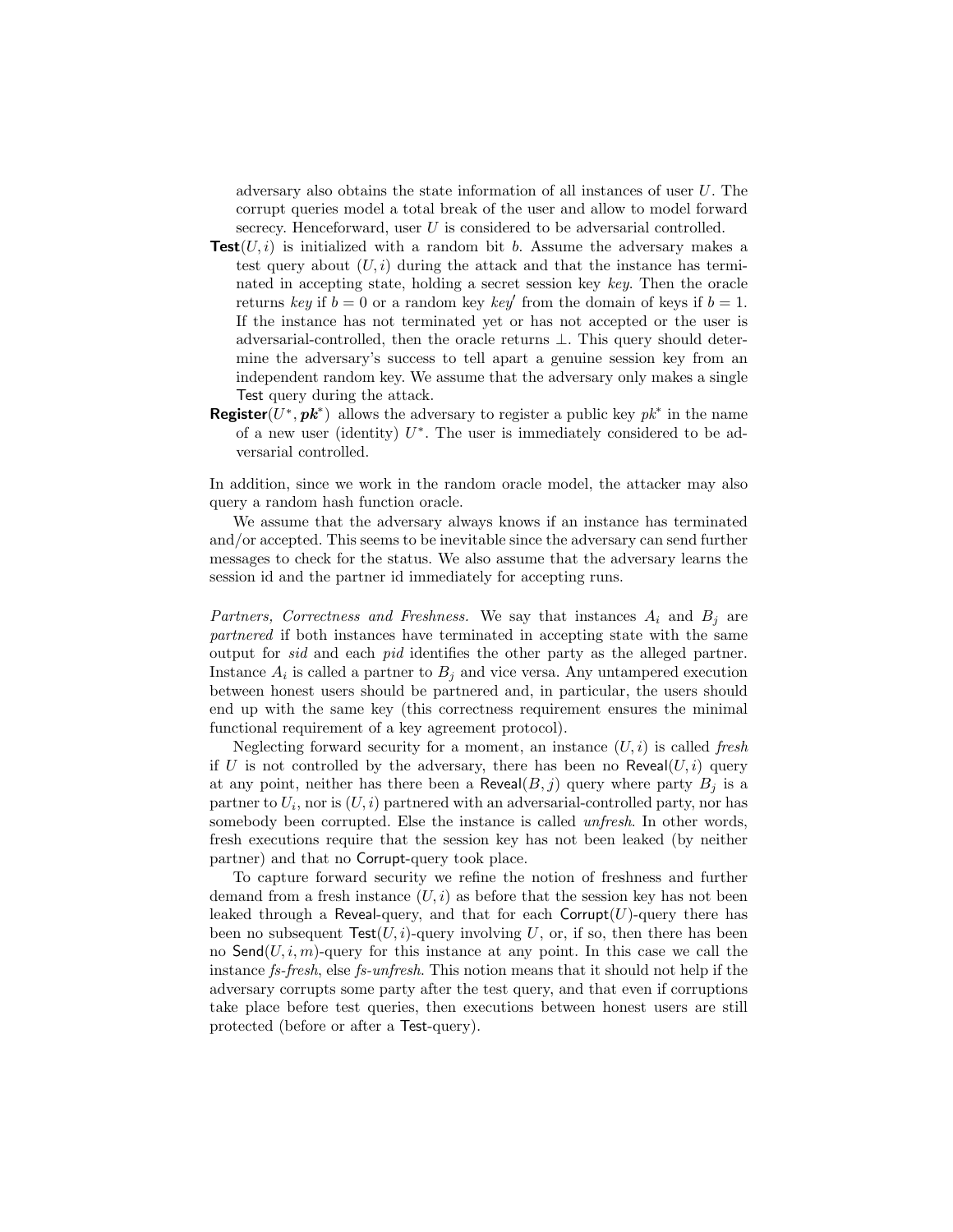adversary also obtains the state information of all instances of user U. The corrupt queries model a total break of the user and allow to model forward secrecy. Henceforward, user U is considered to be adversarial controlled.

- **Test** $(U, i)$  is initialized with a random bit b. Assume the adversary makes a test query about  $(U, i)$  during the attack and that the instance has terminated in accepting state, holding a secret session key key. Then the oracle returns key if  $b = 0$  or a random key key' from the domain of keys if  $b = 1$ . If the instance has not terminated yet or has not accepted or the user is adversarial-controlled, then the oracle returns ⊥. This query should determine the adversary's success to tell apart a genuine session key from an independent random key. We assume that the adversary only makes a single Test query during the attack.
- **Register**( $\overline{U^*}, p\overline{k^*}$ ) allows the adversary to register a public key  $p\overline{k^*}$  in the name of a new user (identity)  $U^*$ . The user is immediately considered to be adversarial controlled.

In addition, since we work in the random oracle model, the attacker may also query a random hash function oracle.

We assume that the adversary always knows if an instance has terminated and/or accepted. This seems to be inevitable since the adversary can send further messages to check for the status. We also assume that the adversary learns the session id and the partner id immediately for accepting runs.

Partners, Correctness and Freshness. We say that instances  $A_i$  and  $B_j$  are partnered if both instances have terminated in accepting state with the same output for sid and each pid identifies the other party as the alleged partner. Instance  $A_i$  is called a partner to  $B_j$  and vice versa. Any untampered execution between honest users should be partnered and, in particular, the users should end up with the same key (this correctness requirement ensures the minimal functional requirement of a key agreement protocol).

Neglecting forward security for a moment, an instance  $(U, i)$  is called fresh if U is not controlled by the adversary, there has been no Reveal( $U, i$ ) query at any point, neither has there been a Reveal( $B, j$ ) query where party  $B_j$  is a partner to  $U_i$ , nor is  $(U, i)$  partnered with an adversarial-controlled party, nor has somebody been corrupted. Else the instance is called *unfresh*. In other words, fresh executions require that the session key has not been leaked (by neither partner) and that no Corrupt-query took place.

To capture forward security we refine the notion of freshness and further demand from a fresh instance  $(U, i)$  as before that the session key has not been leaked through a Reveal-query, and that for each  $\text{Corrupt}(U)$ -query there has been no subsequent  $Test(U, i)$ -query involving U, or, if so, then there has been no  $\textsf{Send}(U, i, m)$ -query for this instance at any point. In this case we call the instance fs-fresh, else fs-unfresh. This notion means that it should not help if the adversary corrupts some party after the test query, and that even if corruptions take place before test queries, then executions between honest users are still protected (before or after a Test-query).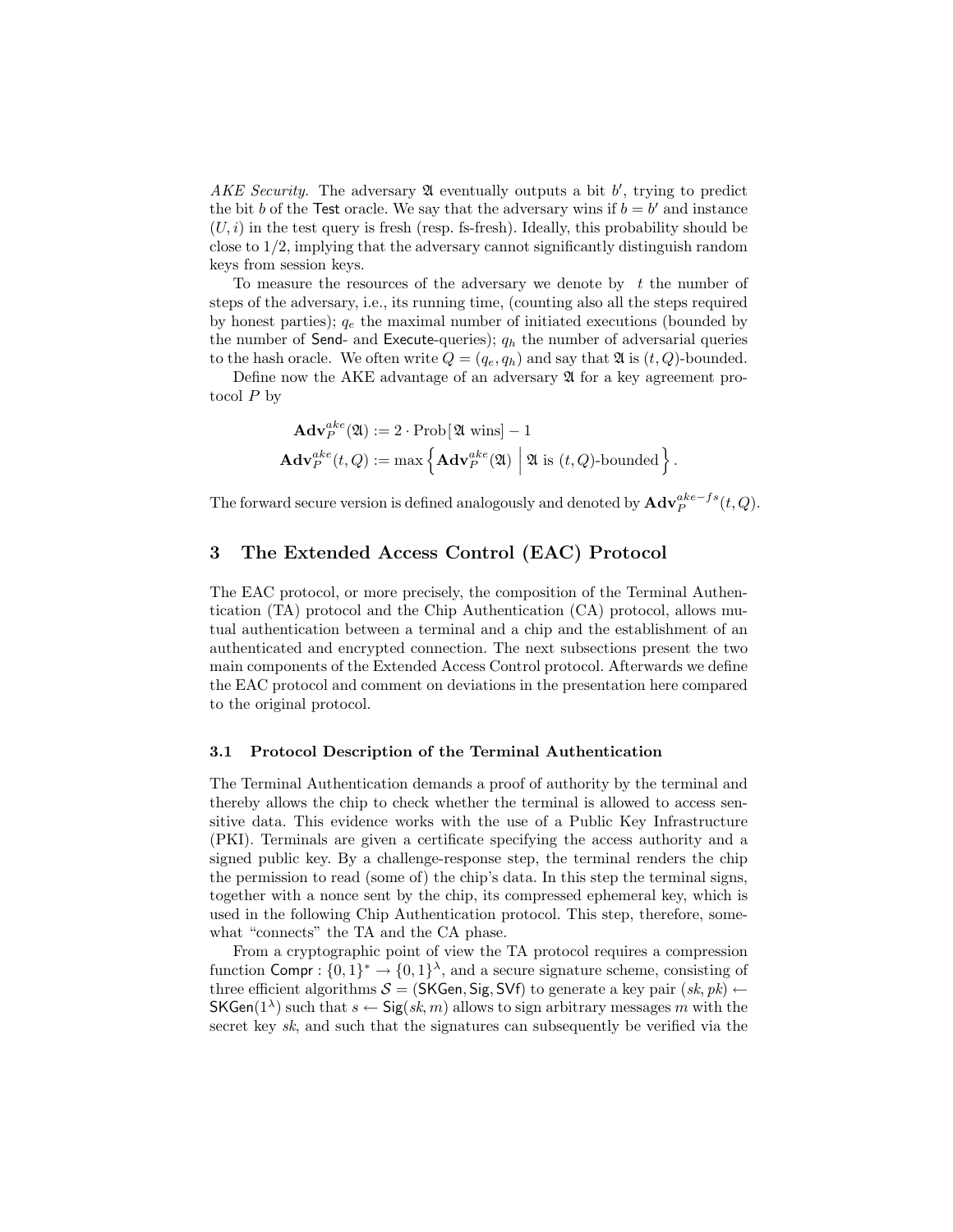AKE Security. The adversary  $\mathfrak A$  eventually outputs a bit  $b'$ , trying to predict the bit b of the Test oracle. We say that the adversary wins if  $b = b'$  and instance  $(U, i)$  in the test query is fresh (resp. fs-fresh). Ideally, this probability should be close to  $1/2$ , implying that the adversary cannot significantly distinguish random keys from session keys.

To measure the resources of the adversary we denote by  $t$  the number of steps of the adversary, i.e., its running time, (counting also all the steps required by honest parties);  $q_e$  the maximal number of initiated executions (bounded by the number of Send- and Execute-queries);  $q_h$  the number of adversarial queries to the hash oracle. We often write  $Q = (q_e, q_h)$  and say that  $\mathfrak{A}$  is  $(t, Q)$ -bounded.

Define now the AKE advantage of an adversary  $\mathfrak A$  for a key agreement protocol  $P$  by

$$
\mathbf{Adv}_{P}^{ake}(\mathfrak{A}) := 2 \cdot \mathrm{Prob}[\mathfrak{A} \text{ wins}] - 1
$$

$$
\mathbf{Adv}_{P}^{ake}(t, Q) := \max \left\{ \mathbf{Adv}_{P}^{ake}(\mathfrak{A}) \middle| \mathfrak{A} \text{ is } (t, Q)\text{-bounded} \right\}.
$$

The forward secure version is defined analogously and denoted by  $\mathbf{Adv}_{P}^{ake-fs}(t, Q)$ .

# 3 The Extended Access Control (EAC) Protocol

The EAC protocol, or more precisely, the composition of the Terminal Authentication (TA) protocol and the Chip Authentication (CA) protocol, allows mutual authentication between a terminal and a chip and the establishment of an authenticated and encrypted connection. The next subsections present the two main components of the Extended Access Control protocol. Afterwards we define the EAC protocol and comment on deviations in the presentation here compared to the original protocol.

#### 3.1 Protocol Description of the Terminal Authentication

The Terminal Authentication demands a proof of authority by the terminal and thereby allows the chip to check whether the terminal is allowed to access sensitive data. This evidence works with the use of a Public Key Infrastructure (PKI). Terminals are given a certificate specifying the access authority and a signed public key. By a challenge-response step, the terminal renders the chip the permission to read (some of) the chip's data. In this step the terminal signs, together with a nonce sent by the chip, its compressed ephemeral key, which is used in the following Chip Authentication protocol. This step, therefore, somewhat "connects" the TA and the CA phase.

From a cryptographic point of view the TA protocol requires a compression function Compr :  $\{0,1\}^* \to \{0,1\}^{\lambda}$ , and a secure signature scheme, consisting of three efficient algorithms  $S = (SKGen, Sig, SVf)$  to generate a key pair  $(sk, pk)$ **SKGen**(1<sup> $\lambda$ </sup>) such that  $s \leftarrow$  **Sig**( $sk, m$ ) allows to sign arbitrary messages m with the secret key sk, and such that the signatures can subsequently be verified via the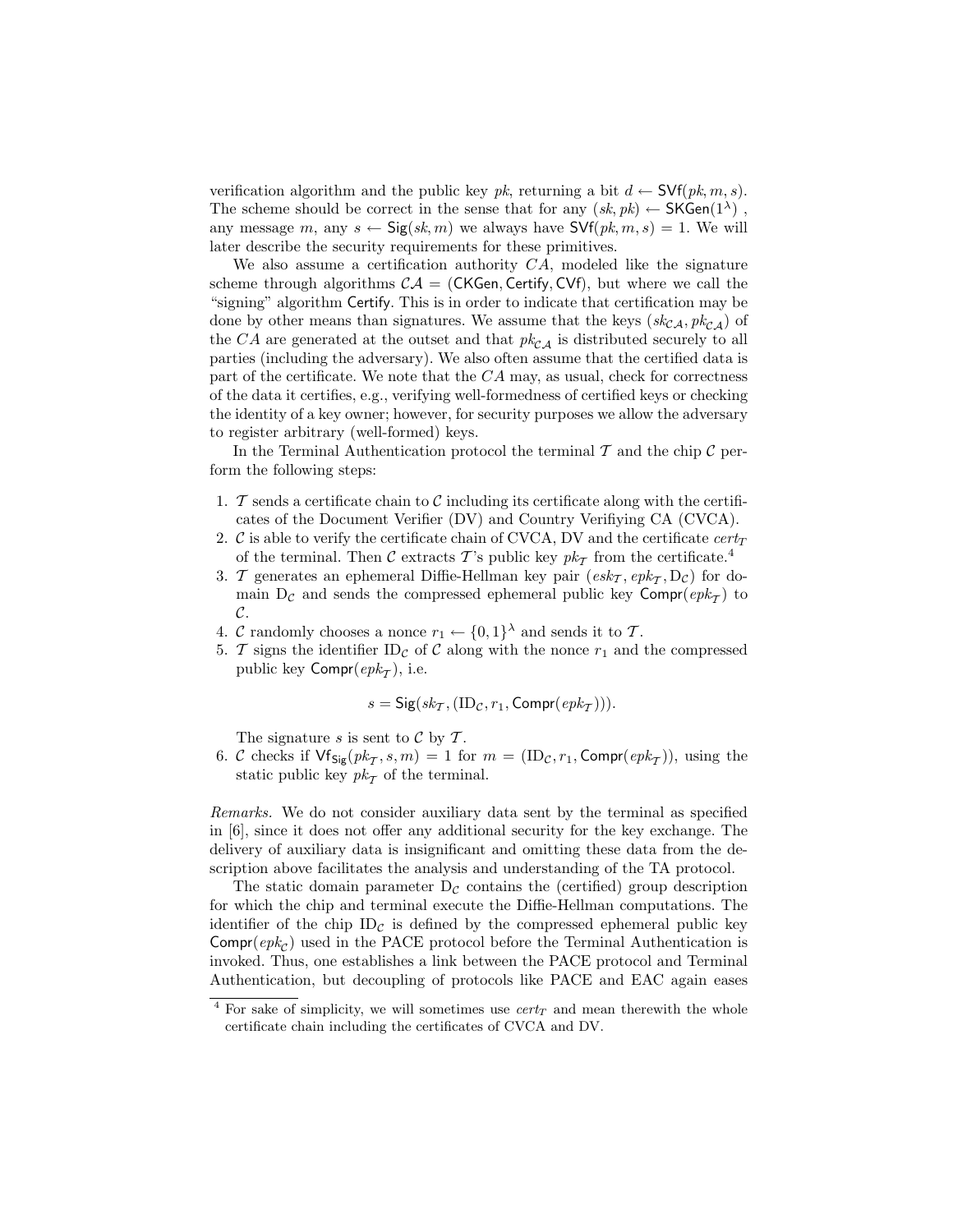verification algorithm and the public key pk, returning a bit  $d \leftarrow \mathsf{SVf}(pk, m, s)$ . The scheme should be correct in the sense that for any  $(sk, pk) \leftarrow \mathsf{SKGen}(1^{\lambda})$ , any message m, any  $s \leftarrow \text{Sig}(sk, m)$  we always have  $\text{SVf}(pk, m, s) = 1$ . We will later describe the security requirements for these primitives.

We also assume a certification authority  $CA$ , modeled like the signature scheme through algorithms  $CA = (CKGen, Certify, CVf)$ , but where we call the "signing" algorithm Certify. This is in order to indicate that certification may be done by other means than signatures. We assume that the keys  $(s\&\mathcal{L}_\mathcal{A}, p\&\mathcal{L}_\mathcal{A})$  of the CA are generated at the outset and that  $pk_{\mathcal{CA}}$  is distributed securely to all parties (including the adversary). We also often assume that the certified data is part of the certificate. We note that the CA may, as usual, check for correctness of the data it certifies, e.g., verifying well-formedness of certified keys or checking the identity of a key owner; however, for security purposes we allow the adversary to register arbitrary (well-formed) keys.

In the Terminal Authentication protocol the terminal  $\mathcal T$  and the chip  $\mathcal C$  perform the following steps:

- 1.  $\mathcal T$  sends a certificate chain to  $\mathcal C$  including its certificate along with the certificates of the Document Verifier (DV) and Country Verifiying CA (CVCA).
- 2. C is able to verify the certificate chain of CVCA, DV and the certificate  $cert_T$ of the terminal. Then  $\mathcal C$  extracts T's public key  $pk_{\mathcal{T}}$  from the certificate.<sup>4</sup>
- 3. T generates an ephemeral Diffie-Hellman key pair  $(esk_T, epk_T, D_c)$  for domain  $D_{\mathcal{C}}$  and sends the compressed ephemeral public key Compr $(epk_{\mathcal{T}})$  to  $\mathcal{C}.$
- 4. C randomly chooses a nonce  $r_1 \leftarrow \{0,1\}^{\lambda}$  and sends it to T.
- 5. T signs the identifier ID<sub>C</sub> of C along with the nonce  $r_1$  and the compressed public key  $\mathsf{Compr}(epk_{\mathcal{T}})$ , i.e.

$$
s = \mathsf{Sig}(sk_T, (\mathsf{ID}_\mathcal{C}, r_1, \mathsf{Compr}(epk_T))).
$$

The signature s is sent to  $\mathcal C$  by  $\mathcal T$ .

6. C checks if  $\mathsf{Vf}_{\mathsf{Sig}}(pk_T, s, m) = 1$  for  $m = (\text{ID}_\mathcal{C}, r_1, \text{Compr}(epk_T)),$  using the static public key  $pk_{\tau}$  of the terminal.

Remarks. We do not consider auxiliary data sent by the terminal as specified in [6], since it does not offer any additional security for the key exchange. The delivery of auxiliary data is insignificant and omitting these data from the description above facilitates the analysis and understanding of the TA protocol.

The static domain parameter  $D<sub>C</sub>$  contains the (certified) group description for which the chip and terminal execute the Diffie-Hellman computations. The identifier of the chip  $ID_{\mathcal{C}}$  is defined by the compressed ephemeral public key  $\textsf{Compr}(epk_C)$  used in the PACE protocol before the Terminal Authentication is invoked. Thus, one establishes a link between the PACE protocol and Terminal Authentication, but decoupling of protocols like PACE and EAC again eases

 $4$  For sake of simplicity, we will sometimes use  $cert_T$  and mean therewith the whole certificate chain including the certificates of CVCA and DV.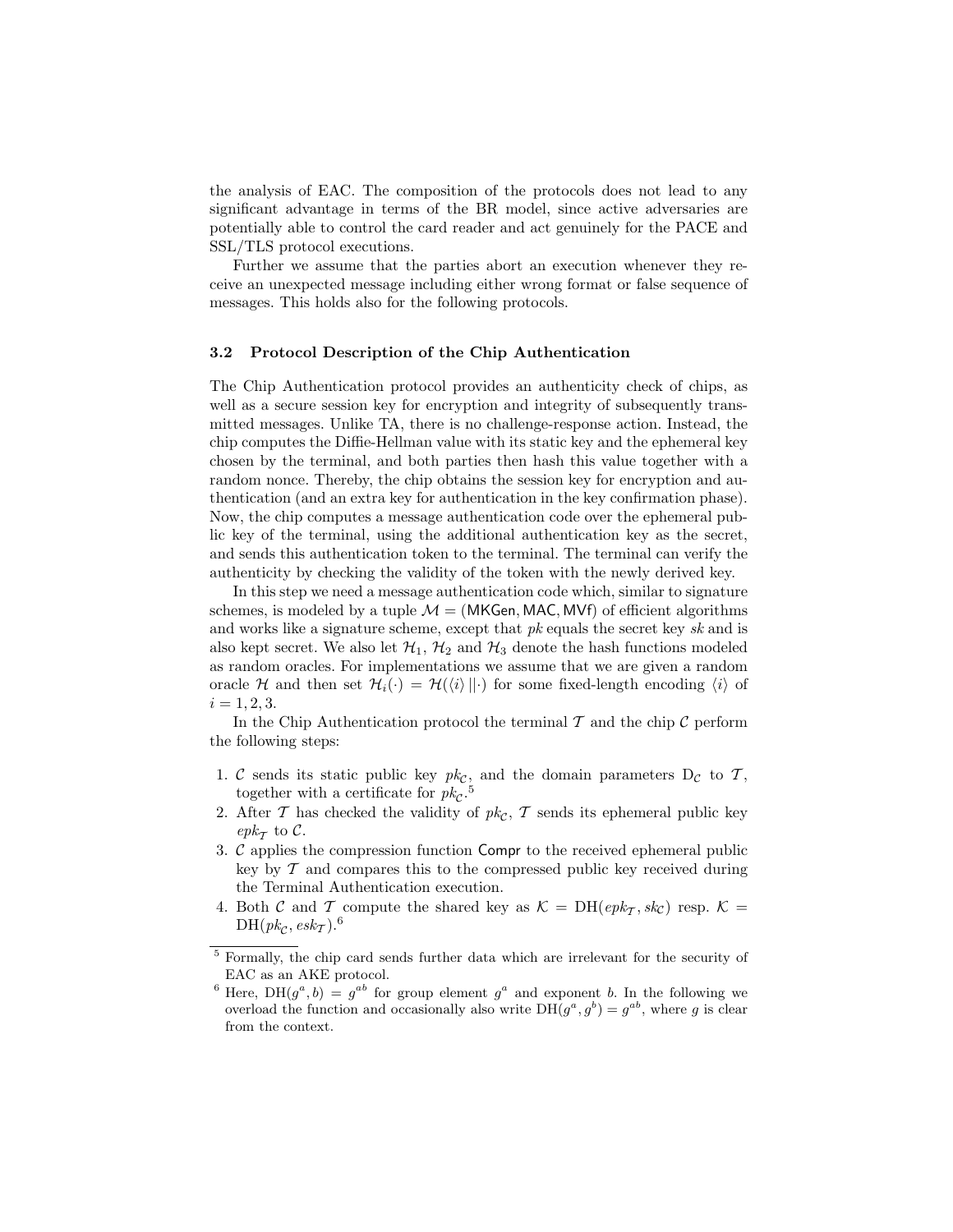the analysis of EAC. The composition of the protocols does not lead to any significant advantage in terms of the BR model, since active adversaries are potentially able to control the card reader and act genuinely for the PACE and SSL/TLS protocol executions.

Further we assume that the parties abort an execution whenever they receive an unexpected message including either wrong format or false sequence of messages. This holds also for the following protocols.

#### 3.2 Protocol Description of the Chip Authentication

The Chip Authentication protocol provides an authenticity check of chips, as well as a secure session key for encryption and integrity of subsequently transmitted messages. Unlike TA, there is no challenge-response action. Instead, the chip computes the Diffie-Hellman value with its static key and the ephemeral key chosen by the terminal, and both parties then hash this value together with a random nonce. Thereby, the chip obtains the session key for encryption and authentication (and an extra key for authentication in the key confirmation phase). Now, the chip computes a message authentication code over the ephemeral public key of the terminal, using the additional authentication key as the secret, and sends this authentication token to the terminal. The terminal can verify the authenticity by checking the validity of the token with the newly derived key.

In this step we need a message authentication code which, similar to signature schemes, is modeled by a tuple  $M = (MKGen, MAC, MVf)$  of efficient algorithms and works like a signature scheme, except that  $pk$  equals the secret key sk and is also kept secret. We also let  $\mathcal{H}_1$ ,  $\mathcal{H}_2$  and  $\mathcal{H}_3$  denote the hash functions modeled as random oracles. For implementations we assume that we are given a random oracle H and then set  $\mathcal{H}_i(\cdot) = \mathcal{H}(\langle i \rangle || \cdot)$  for some fixed-length encoding  $\langle i \rangle$  of  $i = 1, 2, 3.$ 

In the Chip Authentication protocol the terminal  $\mathcal T$  and the chip  $\mathcal C$  perform the following steps:

- 1. C sends its static public key  $pk_{\mathcal{C}}$ , and the domain parameters  $D_{\mathcal{C}}$  to  $\mathcal{T}$ , together with a certificate for  $pk_{\mathcal{C}}$ .<sup>5</sup>
- 2. After  $\mathcal T$  has checked the validity of  $pk_{\mathcal{C}}$ ,  $\mathcal T$  sends its ephemeral public key  $epk<sub>T</sub>$  to  $C$ .
- 3. C applies the compression function Compr to the received ephemeral public key by  $\mathcal T$  and compares this to the compressed public key received during the Terminal Authentication execution.
- 4. Both C and T compute the shared key as  $\mathcal{K} = DH(epk_T, sk_C)$  resp.  $\mathcal{K} =$  $DH(pk_{\mathcal{C}}, \text{esk}_{\mathcal{T}}).^6$

<sup>5</sup> Formally, the chip card sends further data which are irrelevant for the security of EAC as an AKE protocol.

<sup>&</sup>lt;sup>6</sup> Here, DH $(g^a, b) = g^{ab}$  for group element  $g^a$  and exponent b. In the following we overload the function and occasionally also write  $DH(g^a, g^b) = g^{ab}$ , where g is clear from the context.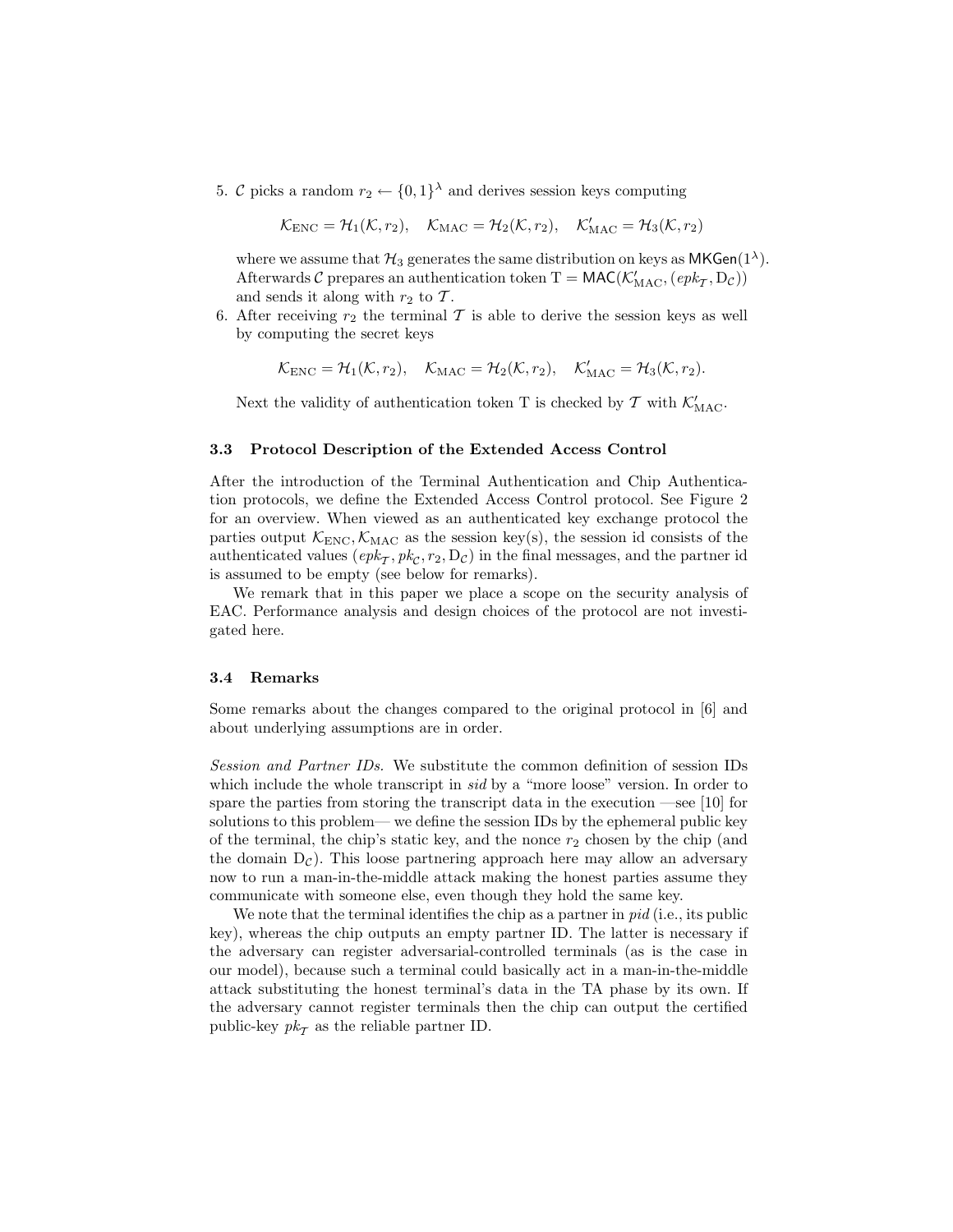5. C picks a random  $r_2 \leftarrow \{0,1\}^{\lambda}$  and derives session keys computing

$$
\mathcal{K}_{\text{ENC}} = \mathcal{H}_1(\mathcal{K}, r_2), \quad \mathcal{K}_{\text{MAC}} = \mathcal{H}_2(\mathcal{K}, r_2), \quad \mathcal{K}_{\text{MAC}}' = \mathcal{H}_3(\mathcal{K}, r_2)
$$

where we assume that  $\mathcal{H}_3$  generates the same distribution on keys as  $\mathsf{MKGen}(1^\lambda).$ Afterwards  $C$  prepares an authentication token  $T = MAC(K'_{MAC}, (epk_{T}, D_{C}))$ and sends it along with  $r_2$  to  $\mathcal T$ .

6. After receiving  $r_2$  the terminal  $\mathcal T$  is able to derive the session keys as well by computing the secret keys

$$
\mathcal{K}_{\mathrm{ENC}}=\mathcal{H}_1(\mathcal{K},r_2),\quad \mathcal{K}_{\mathrm{MAC}}=\mathcal{H}_2(\mathcal{K},r_2),\quad \mathcal{K}_{\mathrm{MAC}}^{\prime}=\mathcal{H}_3(\mathcal{K},r_2).
$$

Next the validity of authentication token T is checked by  $\mathcal T$  with  $\mathcal K'_{\text{MAC}}.$ 

#### 3.3 Protocol Description of the Extended Access Control

After the introduction of the Terminal Authentication and Chip Authentication protocols, we define the Extended Access Control protocol. See Figure 2 for an overview. When viewed as an authenticated key exchange protocol the parties output  $\mathcal{K}_{\text{ENC}}$ ,  $\mathcal{K}_{\text{MAC}}$  as the session key(s), the session id consists of the authenticated values  $(\varrho p k_T, p k_C, r_2, D_C)$  in the final messages, and the partner id is assumed to be empty (see below for remarks).

We remark that in this paper we place a scope on the security analysis of EAC. Performance analysis and design choices of the protocol are not investigated here.

#### 3.4 Remarks

Some remarks about the changes compared to the original protocol in [6] and about underlying assumptions are in order.

Session and Partner IDs. We substitute the common definition of session IDs which include the whole transcript in sid by a "more loose" version. In order to spare the parties from storing the transcript data in the execution —see [10] for solutions to this problem— we define the session IDs by the ephemeral public key of the terminal, the chip's static key, and the nonce  $r_2$  chosen by the chip (and the domain  $D_{\mathcal{C}}$ ). This loose partnering approach here may allow an adversary now to run a man-in-the-middle attack making the honest parties assume they communicate with someone else, even though they hold the same key.

We note that the terminal identifies the chip as a partner in *pid* (i.e., its public key), whereas the chip outputs an empty partner ID. The latter is necessary if the adversary can register adversarial-controlled terminals (as is the case in our model), because such a terminal could basically act in a man-in-the-middle attack substituting the honest terminal's data in the TA phase by its own. If the adversary cannot register terminals then the chip can output the certified public-key  $pk<sub>T</sub>$  as the reliable partner ID.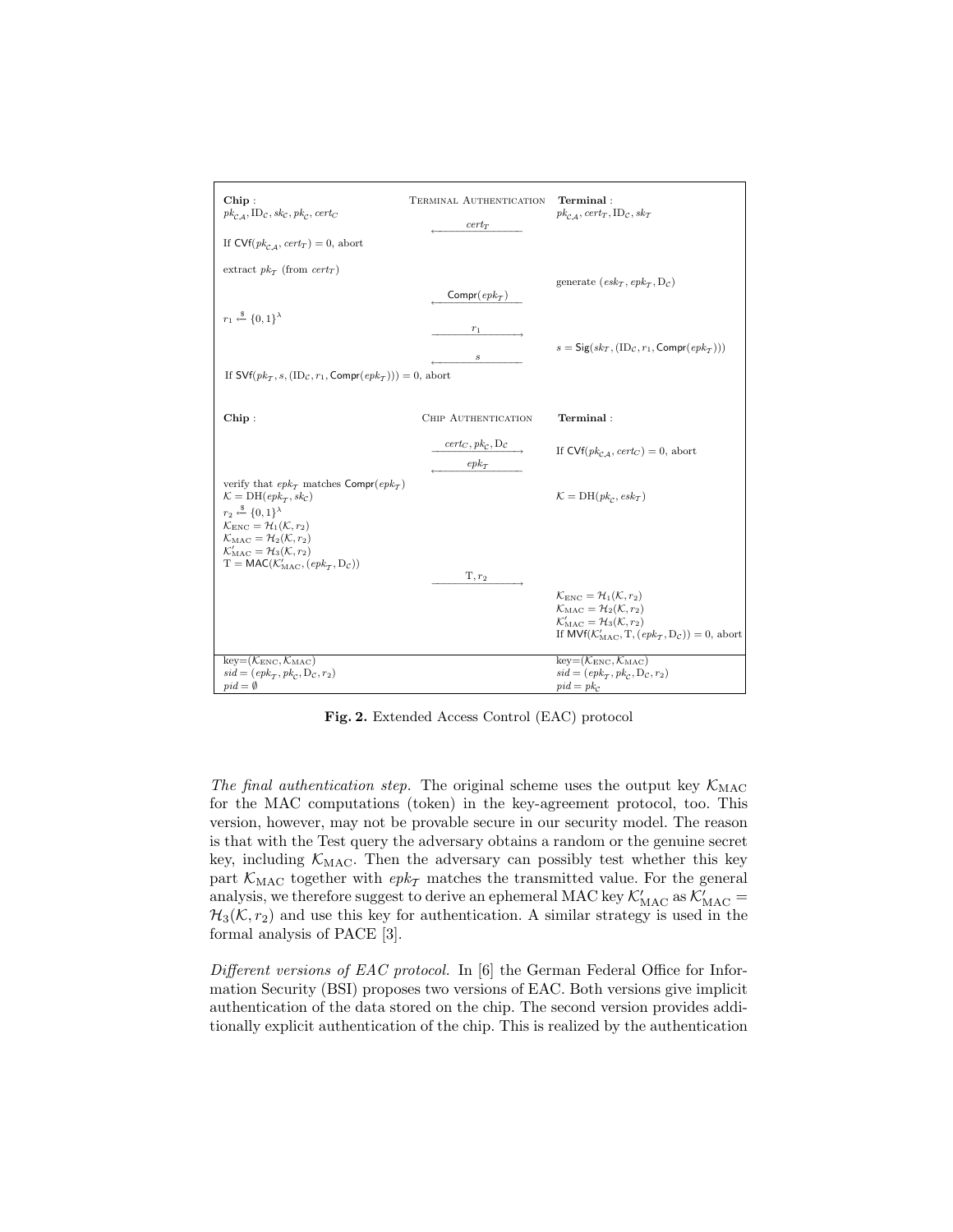

Fig. 2. Extended Access Control (EAC) protocol

The final authentication step. The original scheme uses the output key  $\mathcal{K}_{\text{MAC}}$ for the MAC computations (token) in the key-agreement protocol, too. This version, however, may not be provable secure in our security model. The reason is that with the Test query the adversary obtains a random or the genuine secret key, including  $K_{\text{MAC}}$ . Then the adversary can possibly test whether this key part  $\mathcal{K}_{\text{MAC}}$  together with  $epk_{\mathcal{T}}$  matches the transmitted value. For the general analysis, we therefore suggest to derive an ephemeral MAC key  $\mathcal{K}'_{\text{MAC}}$  as  $\mathcal{K}'_{\text{MAC}} =$  $\mathcal{H}_3(\mathcal{K}, r_2)$  and use this key for authentication. A similar strategy is used in the formal analysis of PACE [3].

Different versions of EAC protocol. In [6] the German Federal Office for Information Security (BSI) proposes two versions of EAC. Both versions give implicit authentication of the data stored on the chip. The second version provides additionally explicit authentication of the chip. This is realized by the authentication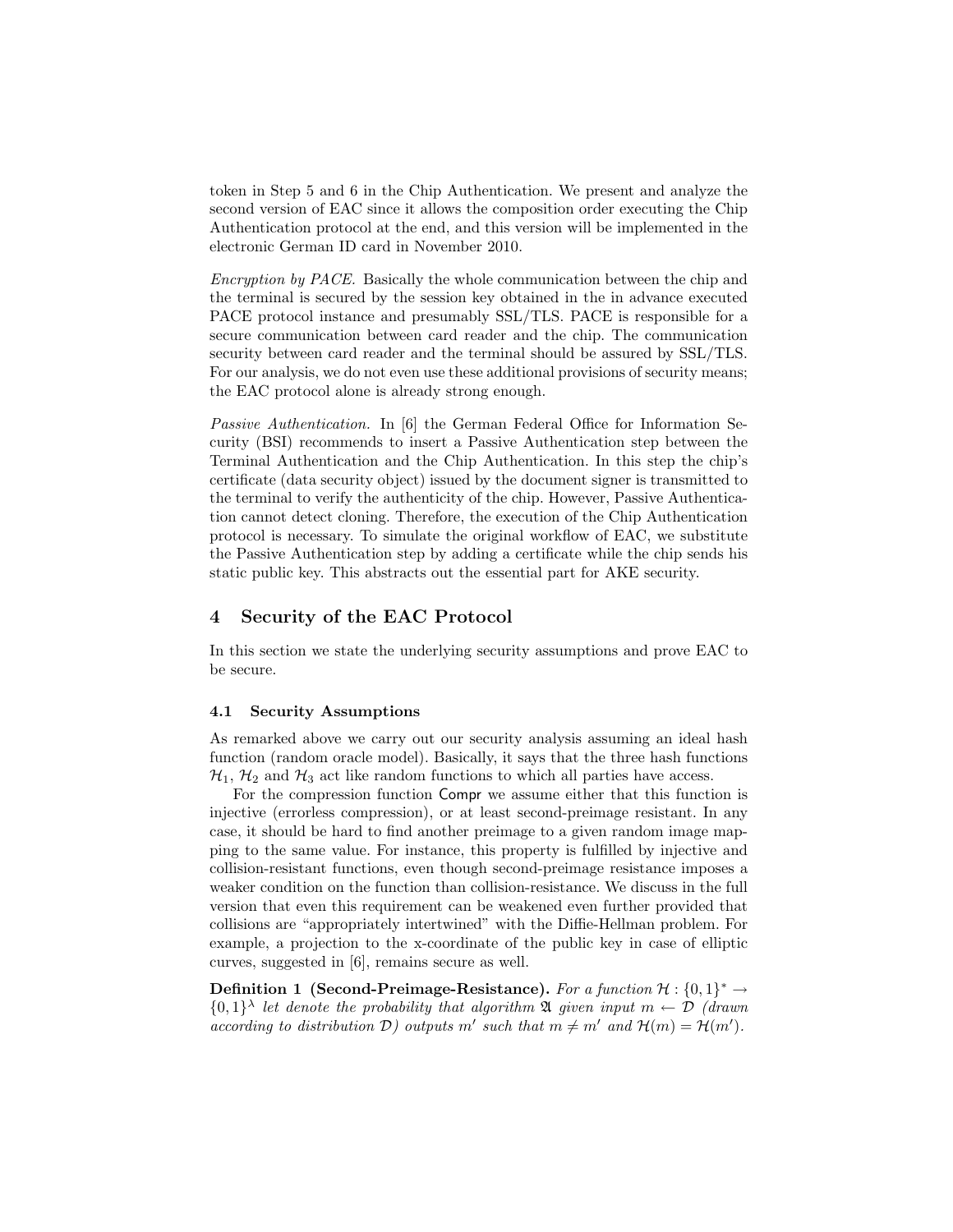token in Step 5 and 6 in the Chip Authentication. We present and analyze the second version of EAC since it allows the composition order executing the Chip Authentication protocol at the end, and this version will be implemented in the electronic German ID card in November 2010.

Encryption by PACE. Basically the whole communication between the chip and the terminal is secured by the session key obtained in the in advance executed PACE protocol instance and presumably SSL/TLS. PACE is responsible for a secure communication between card reader and the chip. The communication security between card reader and the terminal should be assured by SSL/TLS. For our analysis, we do not even use these additional provisions of security means; the EAC protocol alone is already strong enough.

Passive Authentication. In [6] the German Federal Office for Information Security (BSI) recommends to insert a Passive Authentication step between the Terminal Authentication and the Chip Authentication. In this step the chip's certificate (data security object) issued by the document signer is transmitted to the terminal to verify the authenticity of the chip. However, Passive Authentication cannot detect cloning. Therefore, the execution of the Chip Authentication protocol is necessary. To simulate the original workflow of EAC, we substitute the Passive Authentication step by adding a certificate while the chip sends his static public key. This abstracts out the essential part for AKE security.

## 4 Security of the EAC Protocol

In this section we state the underlying security assumptions and prove EAC to be secure.

#### 4.1 Security Assumptions

As remarked above we carry out our security analysis assuming an ideal hash function (random oracle model). Basically, it says that the three hash functions  $\mathcal{H}_1$ ,  $\mathcal{H}_2$  and  $\mathcal{H}_3$  act like random functions to which all parties have access.

For the compression function Compr we assume either that this function is injective (errorless compression), or at least second-preimage resistant. In any case, it should be hard to find another preimage to a given random image mapping to the same value. For instance, this property is fulfilled by injective and collision-resistant functions, even though second-preimage resistance imposes a weaker condition on the function than collision-resistance. We discuss in the full version that even this requirement can be weakened even further provided that collisions are "appropriately intertwined" with the Diffie-Hellman problem. For example, a projection to the x-coordinate of the public key in case of elliptic curves, suggested in [6], remains secure as well.

Definition 1 (Second-Preimage-Resistance). For a function  $\mathcal{H}: \{0,1\}^* \to$  $\{0,1\}^{\lambda}$  let denote the probability that algorithm  $\mathfrak A$  given input  $m \leftarrow \mathcal D$  (drawn according to distribution D) outputs m' such that  $m \neq m'$  and  $\mathcal{H}(m) = \mathcal{H}(m')$ .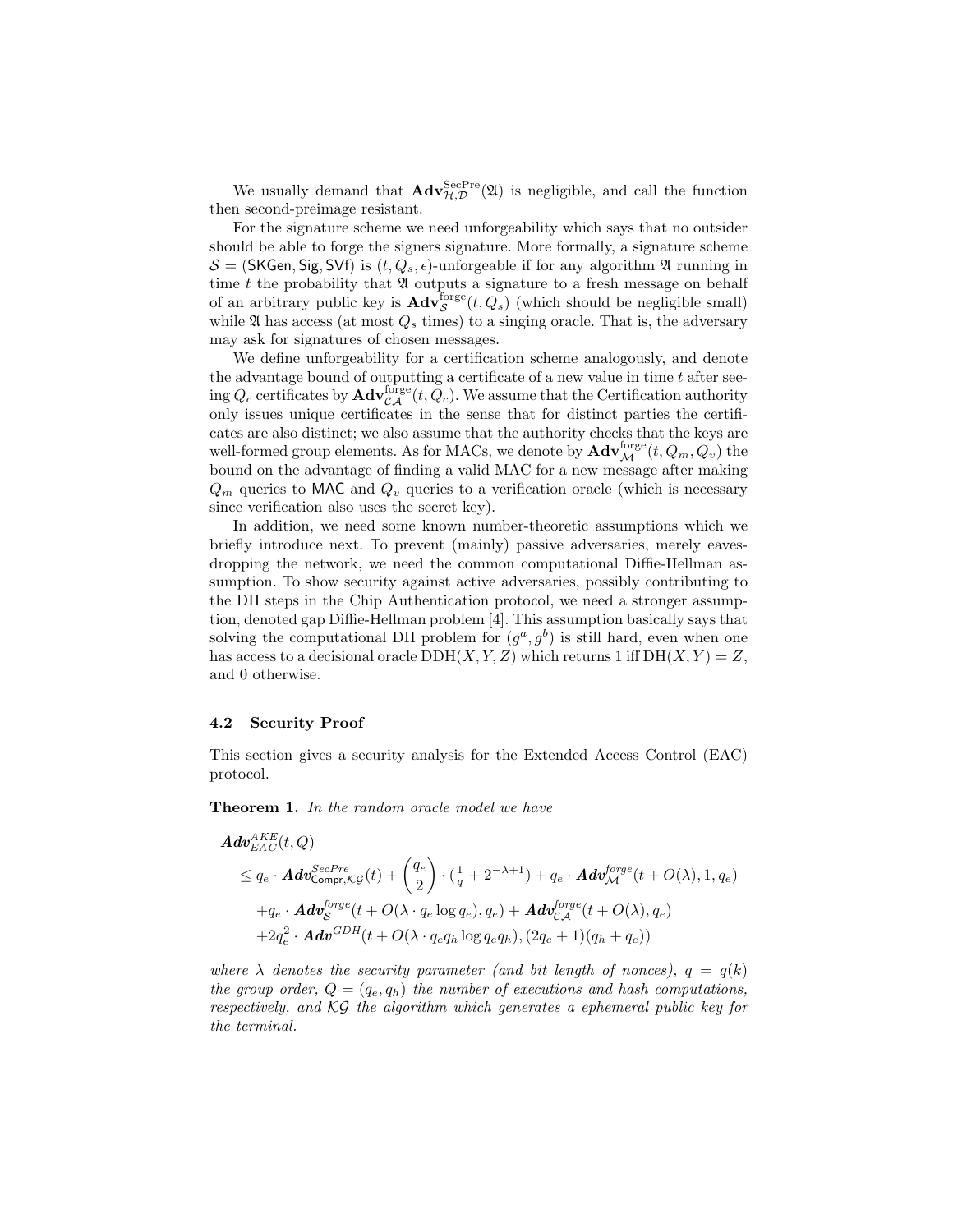We usually demand that  $\mathbf{Adv}_{\mathcal{H},\mathcal{D}}^{\text{SecPre}}(\mathfrak{A})$  is negligible, and call the function then second-preimage resistant.

For the signature scheme we need unforgeability which says that no outsider should be able to forge the signers signature. More formally, a signature scheme  $S = (SKGen, Sig, SVf)$  is  $(t, Q_s, \epsilon)$ -unforgeable if for any algorithm  $\mathfrak A$  running in time  $t$  the probability that  $\mathfrak A$  outputs a signature to a fresh message on behalf of an arbitrary public key is  $\mathbf{Adv}_{\mathcal{S}}^{\text{forget}}(t, Q_s)$  (which should be negligible small) while  $\mathfrak A$  has access (at most  $Q_s$  times) to a singing oracle. That is, the adversary may ask for signatures of chosen messages.

We define unforgeability for a certification scheme analogously, and denote the advantage bound of outputting a certificate of a new value in time  $t$  after seeing  $Q_c$  certificates by  $\mathbf{Adv}_{\mathcal{CA}}^{\text{forge}}(t, \tilde{Q}_c)$ . We assume that the Certification authority only issues unique certificates in the sense that for distinct parties the certificates are also distinct; we also assume that the authority checks that the keys are well-formed group elements. As for MACs, we denote by  $\mathbf{Adv}_{\mathcal{M}}^{\text{forget}}(t, Q_m, Q_v)$  the bound on the advantage of finding a valid MAC for a new message after making  $Q_m$  queries to MAC and  $Q_v$  queries to a verification oracle (which is necessary since verification also uses the secret key).

In addition, we need some known number-theoretic assumptions which we briefly introduce next. To prevent (mainly) passive adversaries, merely eavesdropping the network, we need the common computational Diffie-Hellman assumption. To show security against active adversaries, possibly contributing to the DH steps in the Chip Authentication protocol, we need a stronger assumption, denoted gap Diffie-Hellman problem [4]. This assumption basically says that solving the computational DH problem for  $(g^a, g^b)$  is still hard, even when one has access to a decisional oracle  $DDH(X, Y, Z)$  which returns 1 iff  $DH(X, Y) = Z$ , and 0 otherwise.

#### 4.2 Security Proof

This section gives a security analysis for the Extended Access Control (EAC) protocol.

**Theorem 1.** In the random oracle model we have

$$
\mathbf{Adv}_{EAC}^{AKE}(t, Q)
$$
\n
$$
\leq q_e \cdot \mathbf{Adv}_{\text{Compr}, \mathcal{KG}}^{SecPre}(t) + {q_e \choose 2} \cdot (\frac{1}{q} + 2^{-\lambda+1}) + q_e \cdot \mathbf{Adv}_{\mathcal{M}}^{forget}(t + O(\lambda), 1, q_e)
$$
\n
$$
+ q_e \cdot \mathbf{Adv}_{\mathcal{S}}^{forget}(t + O(\lambda \cdot q_e \log q_e), q_e) + \mathbf{Adv}_{\mathcal{CA}}^{forget}(t + O(\lambda), q_e)
$$
\n
$$
+ 2q_e^2 \cdot \mathbf{Adv}^{GDH}(t + O(\lambda \cdot q_e q_h) \log q_e q_h), (2q_e + 1)(q_h + q_e))
$$

where  $\lambda$  denotes the security parameter (and bit length of nonces),  $q = q(k)$ the group order,  $Q = (q_e, q_h)$  the number of executions and hash computations, respectively, and KG the algorithm which generates a ephemeral public key for the terminal.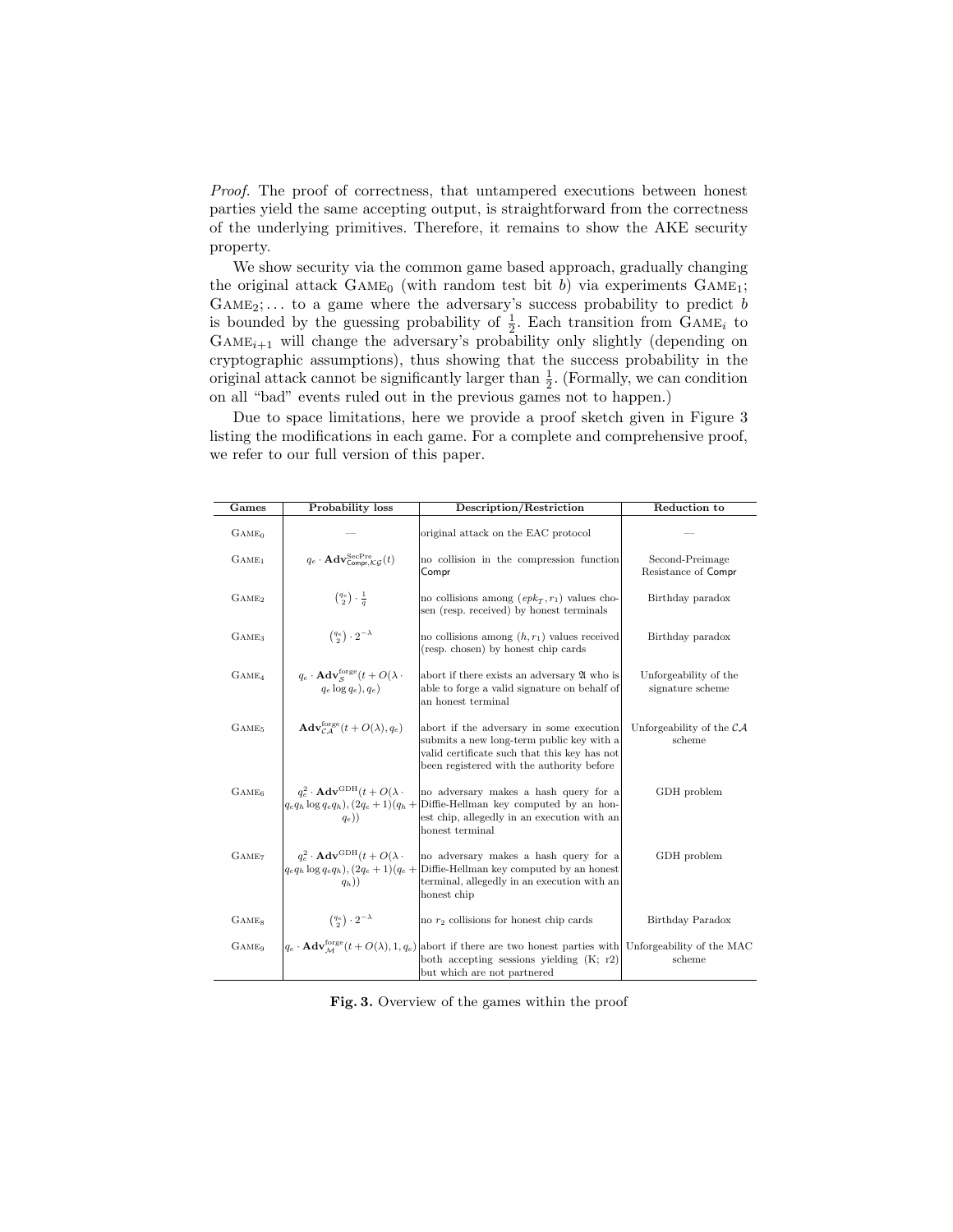Proof. The proof of correctness, that untampered executions between honest parties yield the same accepting output, is straightforward from the correctness of the underlying primitives. Therefore, it remains to show the AKE security property.

We show security via the common game based approach, gradually changing the original attack  $G = M \times_{0} (with random test bit b)$  via experiments  $G = M \times_{1} (m \times_{1} b)$  $GAME_2; \ldots$  to a game where the adversary's success probability to predict b is bounded by the guessing probability of  $\frac{1}{2}$ . Each transition from GAME<sub>i</sub> to  $GAME_{i+1}$  will change the adversary's probability only slightly (depending on cryptographic assumptions), thus showing that the success probability in the original attack cannot be significantly larger than  $\frac{1}{2}$ . (Formally, we can condition on all "bad" events ruled out in the previous games not to happen.)

Due to space limitations, here we provide a proof sketch given in Figure 3 listing the modifications in each game. For a complete and comprehensive proof, we refer to our full version of this paper.

| Games                    | <b>Probability</b> loss                                                                                             | Description/Restriction                                                                                                                                                            | Reduction to                              |
|--------------------------|---------------------------------------------------------------------------------------------------------------------|------------------------------------------------------------------------------------------------------------------------------------------------------------------------------------|-------------------------------------------|
| GAME <sub>0</sub>        |                                                                                                                     | original attack on the EAC protocol                                                                                                                                                |                                           |
| GAME <sub>1</sub>        | $q_e \cdot \mathbf{Adv}^{\text{SecPre}}_{\text{Compr},\mathcal{KG}}(t)$                                             | no collision in the compression function<br>Compr                                                                                                                                  | Second-Preimage<br>Resistance of Compr    |
| GAME <sub>2</sub>        | $\binom{q_e}{2} \cdot \frac{1}{q}$                                                                                  | no collisions among $(\epsilon p k_{\tau}, r_1)$ values cho-<br>sen (resp. received) by honest terminals                                                                           | Birthday paradox                          |
| GAME <sub>3</sub>        | $\binom{q_e}{2} \cdot 2^{-\lambda}$                                                                                 | no collisions among $(h, r_1)$ values received<br>(resp. chosen) by honest chip cards                                                                                              | Birthday paradox                          |
| GAME <sub>4</sub>        | $q_e \cdot \mathbf{Adv}_{S}^{\text{forge}}(t+O(\lambda \cdot$<br>$q_e \log q_e$ , $q_e$ )                           | abort if there exists an adversary 24 who is<br>able to forge a valid signature on behalf of<br>an honest terminal                                                                 | Unforgeability of the<br>signature scheme |
| GAME <sub>5</sub>        | $\mathbf{Adv}_{\mathcal{CA}}^{\text{forge}}(t+O(\lambda),q_e)$                                                      | abort if the adversary in some execution<br>submits a new long-term public key with a<br>valid certificate such that this key has not<br>been registered with the authority before | Unforgeability of the $CA$<br>scheme      |
| GAME <sub>6</sub>        | $q_e^2 \cdot \mathbf{Adv}^{\text{GDH}}(t+O(\lambda \cdot$<br>$q_e q_h \log q_e q_h$ , $(2q_e + 1)(q_h +$<br>$(q_e)$ | no adversary makes a hash query for a<br>Diffie-Hellman key computed by an hon-<br>est chip, allegedly in an execution with an<br>honest terminal                                  | GDH problem                               |
| GAME7                    | $q_e^2 \cdot \mathbf{Adv}^{\text{GDH}}(t+O(\lambda \cdot$<br>$q_e q_h \log q_e q_h$ , $(2q_e + 1)(q_e +$<br>$q_h$ ) | no adversary makes a hash query for a<br>Diffie-Hellman key computed by an honest<br>terminal, allegedly in an execution with an<br>honest chip                                    | GDH problem                               |
| <b>GAME</b> <sub>8</sub> | $\binom{q_e}{2} \cdot 2^{-\lambda}$                                                                                 | no $r_2$ collisions for honest chip cards                                                                                                                                          | Birthday Paradox                          |
| <b>GAME</b> <sub>9</sub> | $q_e\cdot \mathbf{Adv}_{\mathcal{M}}^{\text{forge}}(t+O(\lambda),1,q_e)$                                            | abort if there are two honest parties with<br>both accepting sessions yielding $(K; r2)$<br>but which are not partnered                                                            | Unforgeability of the MAC<br>scheme       |

Fig. 3. Overview of the games within the proof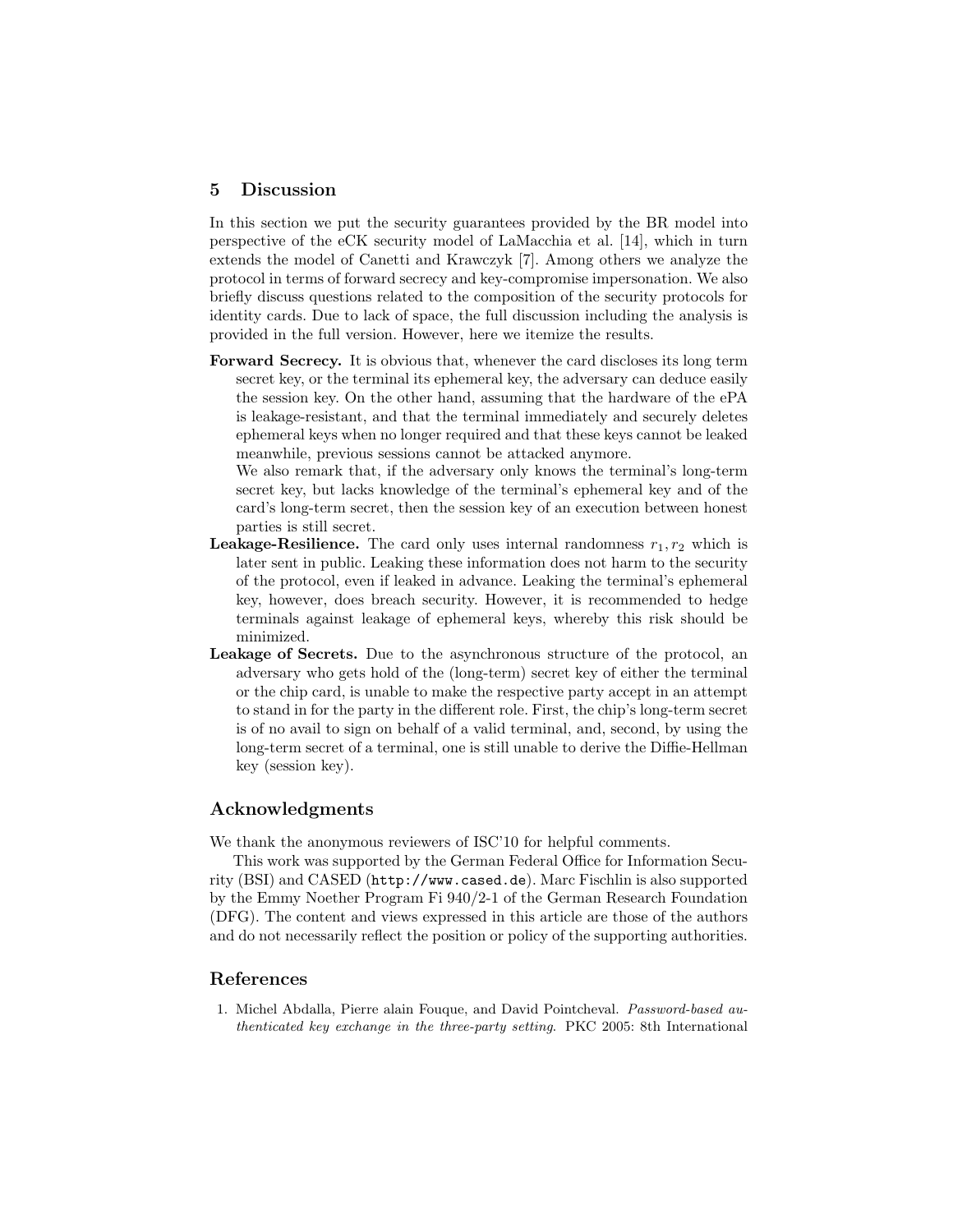# 5 Discussion

In this section we put the security guarantees provided by the BR model into perspective of the eCK security model of LaMacchia et al. [14], which in turn extends the model of Canetti and Krawczyk [7]. Among others we analyze the protocol in terms of forward secrecy and key-compromise impersonation. We also briefly discuss questions related to the composition of the security protocols for identity cards. Due to lack of space, the full discussion including the analysis is provided in the full version. However, here we itemize the results.

Forward Secrecy. It is obvious that, whenever the card discloses its long term secret key, or the terminal its ephemeral key, the adversary can deduce easily the session key. On the other hand, assuming that the hardware of the ePA is leakage-resistant, and that the terminal immediately and securely deletes ephemeral keys when no longer required and that these keys cannot be leaked meanwhile, previous sessions cannot be attacked anymore.

We also remark that, if the adversary only knows the terminal's long-term secret key, but lacks knowledge of the terminal's ephemeral key and of the card's long-term secret, then the session key of an execution between honest parties is still secret.

- **Leakage-Resilience.** The card only uses internal randomness  $r_1, r_2$  which is later sent in public. Leaking these information does not harm to the security of the protocol, even if leaked in advance. Leaking the terminal's ephemeral key, however, does breach security. However, it is recommended to hedge terminals against leakage of ephemeral keys, whereby this risk should be minimized.
- Leakage of Secrets. Due to the asynchronous structure of the protocol, an adversary who gets hold of the (long-term) secret key of either the terminal or the chip card, is unable to make the respective party accept in an attempt to stand in for the party in the different role. First, the chip's long-term secret is of no avail to sign on behalf of a valid terminal, and, second, by using the long-term secret of a terminal, one is still unable to derive the Diffie-Hellman key (session key).

### Acknowledgments

We thank the anonymous reviewers of ISC'10 for helpful comments.

This work was supported by the German Federal Office for Information Security (BSI) and CASED (http://www.cased.de). Marc Fischlin is also supported by the Emmy Noether Program Fi 940/2-1 of the German Research Foundation (DFG). The content and views expressed in this article are those of the authors and do not necessarily reflect the position or policy of the supporting authorities.

# References

1. Michel Abdalla, Pierre alain Fouque, and David Pointcheval. Password-based authenticated key exchange in the three-party setting. PKC 2005: 8th International